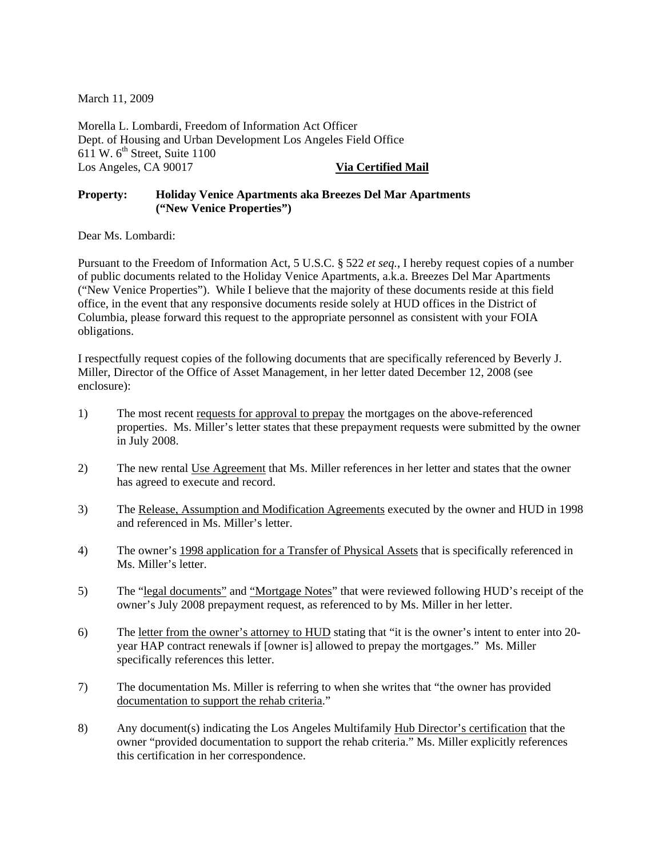March 11, 2009

Morella L. Lombardi, Freedom of Information Act Officer Dept. of Housing and Urban Development Los Angeles Field Office 611 W.  $6^{th}$  Street, Suite 1100 Los Angeles, CA 90017 **Via Certified Mail** 

## **Property: Holiday Venice Apartments aka Breezes Del Mar Apartments ("New Venice Properties")**

Dear Ms. Lombardi:

Pursuant to the Freedom of Information Act, 5 U.S.C. § 522 *et seq.*, I hereby request copies of a number of public documents related to the Holiday Venice Apartments, a.k.a. Breezes Del Mar Apartments ("New Venice Properties"). While I believe that the majority of these documents reside at this field office, in the event that any responsive documents reside solely at HUD offices in the District of Columbia, please forward this request to the appropriate personnel as consistent with your FOIA obligations.

I respectfully request copies of the following documents that are specifically referenced by Beverly J. Miller, Director of the Office of Asset Management, in her letter dated December 12, 2008 (see enclosure):

- 1) The most recent requests for approval to prepay the mortgages on the above-referenced properties. Ms. Miller's letter states that these prepayment requests were submitted by the owner in July 2008.
- 2) The new rental Use Agreement that Ms. Miller references in her letter and states that the owner has agreed to execute and record.
- 3) The Release, Assumption and Modification Agreements executed by the owner and HUD in 1998 and referenced in Ms. Miller's letter.
- 4) The owner's 1998 application for a Transfer of Physical Assets that is specifically referenced in Ms. Miller's letter.
- 5) The "legal documents" and "Mortgage Notes" that were reviewed following HUD's receipt of the owner's July 2008 prepayment request, as referenced to by Ms. Miller in her letter.
- 6) The letter from the owner's attorney to HUD stating that "it is the owner's intent to enter into 20 year HAP contract renewals if [owner is] allowed to prepay the mortgages." Ms. Miller specifically references this letter.
- 7) The documentation Ms. Miller is referring to when she writes that "the owner has provided documentation to support the rehab criteria."
- 8) Any document(s) indicating the Los Angeles Multifamily Hub Director's certification that the owner "provided documentation to support the rehab criteria." Ms. Miller explicitly references this certification in her correspondence.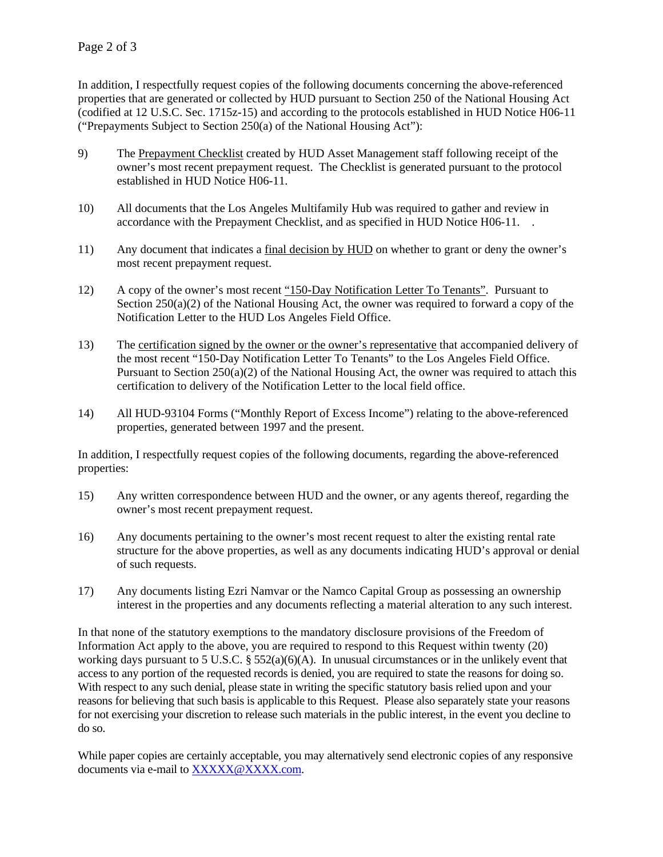In addition, I respectfully request copies of the following documents concerning the above-referenced properties that are generated or collected by HUD pursuant to Section 250 of the National Housing Act (codified at 12 U.S.C. Sec. 1715z-15) and according to the protocols established in HUD Notice H06-11 ("Prepayments Subject to Section 250(a) of the National Housing Act"):

- 9) The Prepayment Checklist created by HUD Asset Management staff following receipt of the owner's most recent prepayment request. The Checklist is generated pursuant to the protocol established in HUD Notice H06-11.
- 10) All documents that the Los Angeles Multifamily Hub was required to gather and review in accordance with the Prepayment Checklist, and as specified in HUD Notice H06-11. .
- 11) Any document that indicates a final decision by HUD on whether to grant or deny the owner's most recent prepayment request.
- 12) A copy of the owner's most recent "150-Day Notification Letter To Tenants". Pursuant to Section 250(a)(2) of the National Housing Act, the owner was required to forward a copy of the Notification Letter to the HUD Los Angeles Field Office.
- 13) The certification signed by the owner or the owner's representative that accompanied delivery of the most recent "150-Day Notification Letter To Tenants" to the Los Angeles Field Office. Pursuant to Section  $250(a)(2)$  of the National Housing Act, the owner was required to attach this certification to delivery of the Notification Letter to the local field office.
- 14) All HUD-93104 Forms ("Monthly Report of Excess Income") relating to the above-referenced properties, generated between 1997 and the present.

In addition, I respectfully request copies of the following documents, regarding the above-referenced properties:

- 15) Any written correspondence between HUD and the owner, or any agents thereof, regarding the owner's most recent prepayment request.
- 16) Any documents pertaining to the owner's most recent request to alter the existing rental rate structure for the above properties, as well as any documents indicating HUD's approval or denial of such requests.
- 17) Any documents listing Ezri Namvar or the Namco Capital Group as possessing an ownership interest in the properties and any documents reflecting a material alteration to any such interest.

In that none of the statutory exemptions to the mandatory disclosure provisions of the Freedom of Information Act apply to the above, you are required to respond to this Request within twenty (20) working days pursuant to 5 U.S.C. § 552(a)(6)(A). In unusual circumstances or in the unlikely event that access to any portion of the requested records is denied, you are required to state the reasons for doing so. With respect to any such denial, please state in writing the specific statutory basis relied upon and your reasons for believing that such basis is applicable to this Request. Please also separately state your reasons for not exercising your discretion to release such materials in the public interest, in the event you decline to do so.

While paper copies are certainly acceptable, you may alternatively send electronic copies of any responsive documents via e-mail to XXXXX@XXXX.com.